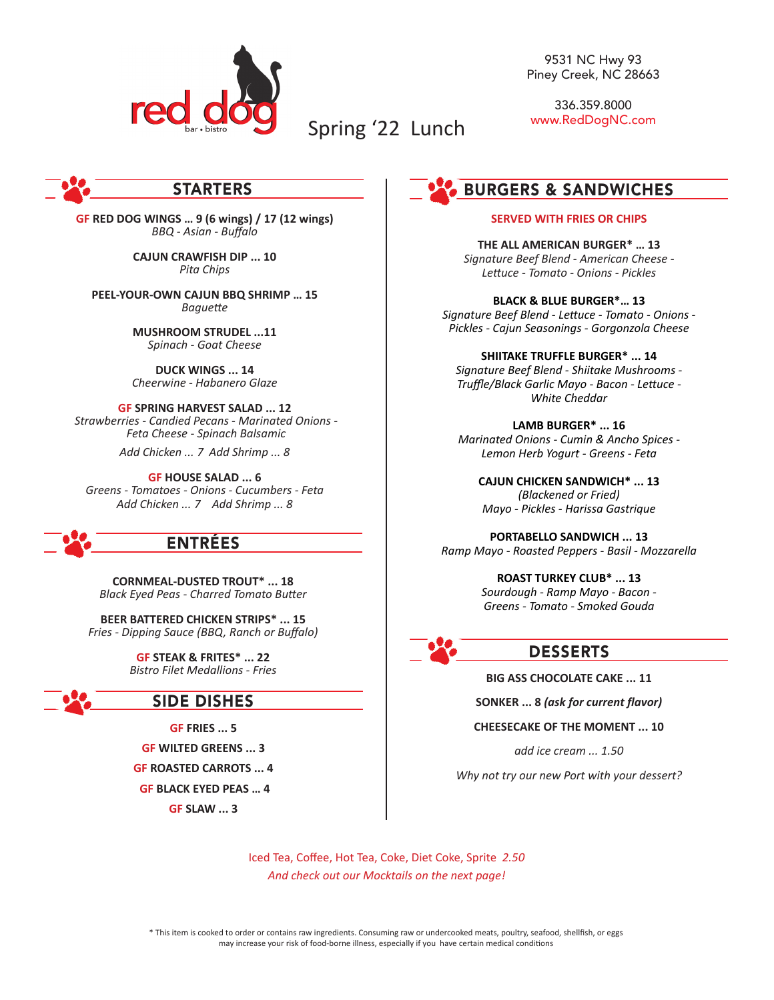

9531 NC Hwy 93 Piney Creek, NC 28663

336.359.8000 www.RedDogNC.com

# STARTERS

**GF RED DOG WINGS … 9 (6 wings) / 17 (12 wings)** *BBQ - Asian - Buffalo*

> **CAJUN CRAWFISH DIP ... 10** *Pita Chips*

**PEEL-YOUR-OWN CAJUN BBQ SHRIMP … 15** *Baguette*

> **MUSHROOM STRUDEL ...11** *Spinach - Goat Cheese*

> **DUCK WINGS ... 14** *Cheerwine - Habanero Glaze*

**GF SPRING HARVEST SALAD ... 12**  *Strawberries - Candied Pecans - Marinated Onions - Feta Cheese - Spinach Balsamic* 

*Add Chicken ... 7 Add Shrimp ... 8*

**GF HOUSE SALAD ... 6** *Greens - Tomatoes - Onions - Cucumbers - Feta Add Chicken ... 7 Add Shrimp ... 8*

# ENTRÉES

**CORNMEAL-DUSTED TROUT\* ... 18** *Black Eyed Peas - Charred Tomato Butter*

**BEER BATTERED CHICKEN STRIPS\* ... 15** *Fries - Dipping Sauce (BBQ, Ranch or Buffalo)*

> **GF STEAK & FRITES\* ... 22** *Bistro Filet Medallions - Fries*

# SIDE DISHES

**GF FRIES ... 5**

**GF WILTED GREENS ... 3 GF ROASTED CARROTS ... 4**

**GF BLACK EYED PEAS … 4**

**GF SLAW ... 3**

# BURGERS & SANDWICHES

#### **SERVED WITH FRIES OR CHIPS**

**THE ALL AMERICAN BURGER\* … 13** *Signature Beef Blend - American Cheese - Lettuce - Tomato - Onions - Pickles*

**BLACK & BLUE BURGER\*… 13** *Signature Beef Blend - Lettuce - Tomato - Onions - Pickles - Cajun Seasonings - Gorgonzola Cheese*

**SHIITAKE TRUFFLE BURGER\* ... 14** *Signature Beef Blend - Shiitake Mushrooms - Truffle/Black Garlic Mayo - Bacon - Lettuce - White Cheddar* 

**LAMB BURGER\* ... 16** *Marinated Onions - Cumin & Ancho Spices - Lemon Herb Yogurt - Greens - Feta*

**CAJUN CHICKEN SANDWICH\* ... 13** *(Blackened or Fried) Mayo - Pickles - Harissa Gastrique*

**PORTABELLO SANDWICH ... 13** *Ramp Mayo - Roasted Peppers - Basil - Mozzarella*

> **ROAST TURKEY CLUB\* ... 13** *Sourdough - Ramp Mayo - Bacon - Greens - Tomato - Smoked Gouda*



# DESSERTS

**BIG ASS CHOCOLATE CAKE ... 11** 

**SONKER ... 8** *(ask for current flavor)*

#### **CHEESECAKE OF THE MOMENT ... 10**

*add ice cream ... 1.50*

*Why not try our new Port with your dessert?*

Iced Tea, Coffee, Hot Tea, Coke, Diet Coke, Sprite *2.50 And check out our Mocktails on the next page!*

Spring '22 Lunch

\* This item is cooked to order or contains raw ingredients. Consuming raw or undercooked meats, poultry, seafood, shellfish, or eggs may increase your risk of food-borne illness, especially if you have certain medical conditions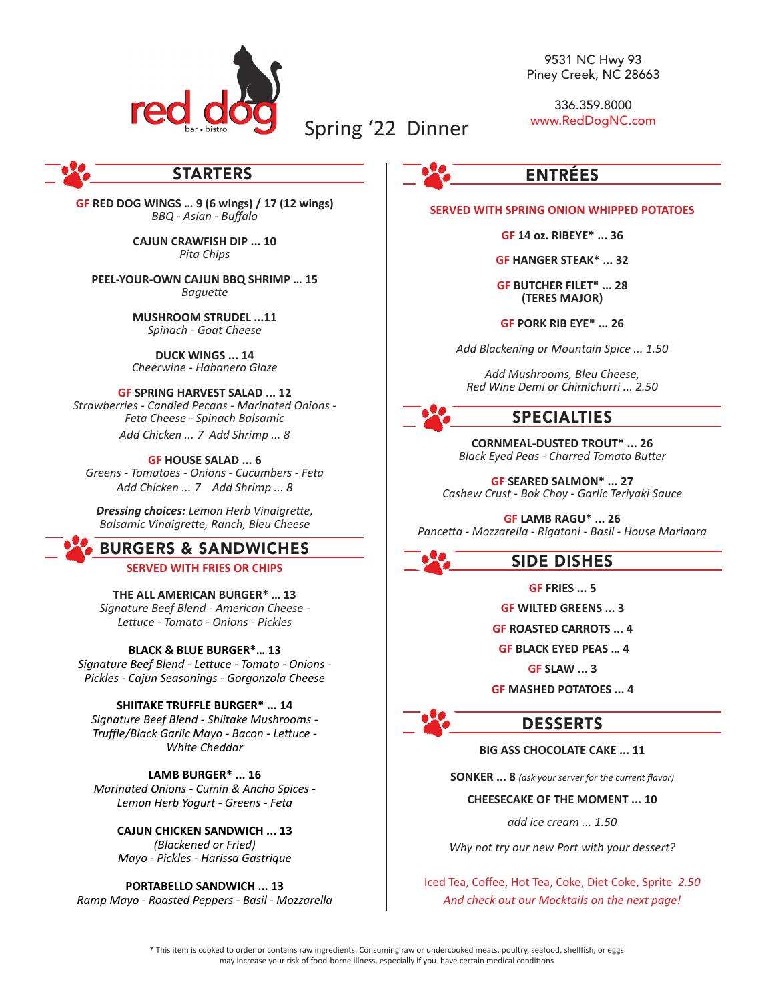

# Spring '22 Dinner

9531 NC Hwy 93 Piney Creek, NC 28663

336.359.8000 www.RedDogNC.com

# STARTERS

**GF RED DOG WINGS … 9 (6 wings) / 17 (12 wings)** *BBQ - Asian - Buffalo*

> **CAJUN CRAWFISH DIP ... 10** *Pita Chips*

**PEEL-YOUR-OWN CAJUN BBQ SHRIMP … 15** *Baguette*

> **MUSHROOM STRUDEL ...11** *Spinach - Goat Cheese*

> **DUCK WINGS ... 14** *Cheerwine - Habanero Glaze*

**GF SPRING HARVEST SALAD ... 12** *Strawberries - Candied Pecans - Marinated Onions - Feta Cheese - Spinach Balsamic Add Chicken ... 7 Add Shrimp ... 8*

**GF HOUSE SALAD ... 6** *Greens - Tomatoes - Onions - Cucumbers - Feta Add Chicken ... 7 Add Shrimp ... 8*

*Dressing choices: Lemon Herb Vinaigrette, Balsamic Vinaigrette, Ranch, Bleu Cheese*

# BURGERS & SANDWICHES

**SERVED WITH FRIES OR CHIPS**

**THE ALL AMERICAN BURGER\* … 13** *Signature Beef Blend - American Cheese - Lettuce - Tomato - Onions - Pickles*

### **BLACK & BLUE BURGER\*… 13**

*Signature Beef Blend - Lettuce - Tomato - Onions - Pickles - Cajun Seasonings - Gorgonzola Cheese*

**SHIITAKE TRUFFLE BURGER\* ... 14** *Signature Beef Blend - Shiitake Mushrooms - Truffle/Black Garlic Mayo - Bacon - Lettuce - White Cheddar* 

**LAMB BURGER\* ... 16** *Marinated Onions - Cumin & Ancho Spices - Lemon Herb Yogurt - Greens - Feta*

> **CAJUN CHICKEN SANDWICH ... 13** *(Blackened or Fried) Mayo - Pickles - Harissa Gastrique*

**PORTABELLO SANDWICH ... 13** *Ramp Mayo - Roasted Peppers - Basil - Mozzarella*



## **SERVED WITH SPRING ONION WHIPPED POTATOES**

**GF 14 oz. RIBEYE\* ... 36**

**GF HANGER STEAK\* ... 32**

**GF BUTCHER FILET\* ... 28 (TERES MAJOR)**

**GF PORK RIB EYE\* ... 26**

*Add Blackening or Mountain Spice ... 1.50*

*Add Mushrooms, Bleu Cheese, Red Wine Demi or Chimichurri ... 2.50*

SPECIALTIES

**CORNMEAL-DUSTED TROUT\* ... 26** *Black Eyed Peas - Charred Tomato Butter*

**GF SEARED SALMON\* ... 27** *Cashew Crust - Bok Choy - Garlic Teriyaki Sauce*

**GF LAMB RAGU\* ... 26** *Pancetta - Mozzarella - Rigatoni - Basil - House Marinara*

SIDE DISHES

**GF FRIES ... 5**

**GF WILTED GREENS ... 3**

**GF ROASTED CARROTS ... 4**

**GF BLACK EYED PEAS … 4**

**GF SLAW ... 3**

**GF MASHED POTATOES ... 4** 

DESSERTS

# **BIG ASS CHOCOLATE CAKE ... 11**

**SONKER ... 8** *(ask your server for the current flavor)*

#### **CHEESECAKE OF THE MOMENT ... 10**

*add ice cream ... 1.50*

*Why not try our new Port with your dessert?*

Iced Tea, Coffee, Hot Tea, Coke, Diet Coke, Sprite *2.50 And check out our Mocktails on the next page!*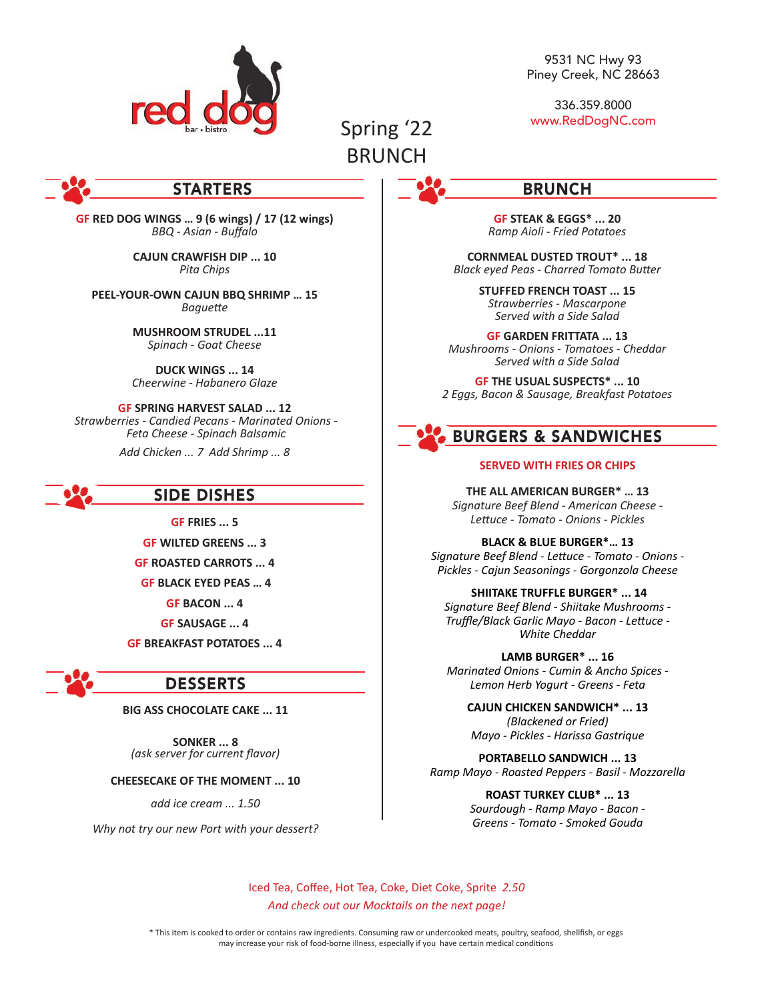

9531 NC Hwy 93 Piney Creek, NC 28663

336.359.8000 www.RedDogNC.com

# Spring '22 **BRUNCH**

# STARTERS

**GF RED DOG WINGS … 9 (6 wings) / 17 (12 wings)** *BBQ - Asian - Buffalo*

> **CAJUN CRAWFISH DIP ... 10** *Pita Chips*

**PEEL-YOUR-OWN CAJUN BBQ SHRIMP … 15** *Baguette*

> **MUSHROOM STRUDEL ...11** *Spinach - Goat Cheese*

> **DUCK WINGS ... 14** *Cheerwine - Habanero Glaze*

**GF SPRING HARVEST SALAD ... 12**  *Strawberries - Candied Pecans - Marinated Onions - Feta Cheese - Spinach Balsamic* 

*Add Chicken ... 7 Add Shrimp ... 8*

# SIDE DISHES

**GF FRIES ... 5**

**GF WILTED GREENS ... 3**

**GF ROASTED CARROTS ... 4**

**GF BLACK EYED PEAS … 4**

**GF BACON ... 4**

**GF SAUSAGE ... 4**

**GF BREAKFAST POTATOES ... 4**

# DESSERTS

**BIG ASS CHOCOLATE CAKE ... 11** 

**SONKER ... 8** *(ask server for current flavor)*

**CHEESECAKE OF THE MOMENT ... 10**

*add ice cream ... 1.50*

*Why not try our new Port with your dessert?*

BRUNCH

**GF STEAK & EGGS\* ... 20** *Ramp Aioli - Fried Potatoes*

**CORNMEAL DUSTED TROUT\* ... 18** *Black eyed Peas - Charred Tomato Butter*

> **STUFFED FRENCH TOAST ... 15** *Strawberries - Mascarpone Served with a Side Salad*

**GF GARDEN FRITTATA ... 13** *Mushrooms - Onions - Tomatoes - Cheddar Served with a Side Salad*

**GF THE USUAL SUSPECTS\* ... 10** *2 Eggs, Bacon & Sausage, Breakfast Potatoes*

# BURGERS & SANDWICHES

#### **SERVED WITH FRIES OR CHIPS**

**THE ALL AMERICAN BURGER\* … 13** *Signature Beef Blend - American Cheese - Lettuce - Tomato - Onions - Pickles*

**BLACK & BLUE BURGER\*… 13** *Signature Beef Blend - Lettuce - Tomato - Onions - Pickles - Cajun Seasonings - Gorgonzola Cheese*

**SHIITAKE TRUFFLE BURGER\* ... 14**

*Signature Beef Blend - Shiitake Mushrooms - Truffle/Black Garlic Mayo - Bacon - Lettuce - White Cheddar* 

**LAMB BURGER\* ... 16** *Marinated Onions - Cumin & Ancho Spices - Lemon Herb Yogurt - Greens - Feta*

**CAJUN CHICKEN SANDWICH\* ... 13** *(Blackened or Fried) Mayo - Pickles - Harissa Gastrique*

**PORTABELLO SANDWICH ... 13** *Ramp Mayo - Roasted Peppers - Basil - Mozzarella*

> **ROAST TURKEY CLUB\* ... 13** *Sourdough - Ramp Mayo - Bacon - Greens - Tomato - Smoked Gouda*

Iced Tea, Coffee, Hot Tea, Coke, Diet Coke, Sprite *2.50 And check out our Mocktails on the next page!*

\* This item is cooked to order or contains raw ingredients. Consuming raw or undercooked meats, poultry, seafood, shellfish, or eggs may increase your risk of food-borne illness, especially if you have certain medical conditions